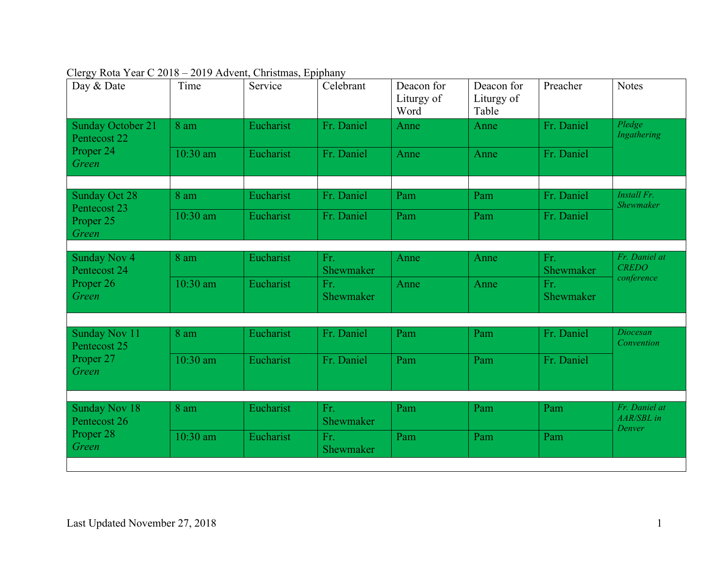| Day & Date                               | Time       | Service   | Celebrant        | Deacon for<br>Liturgy of<br>Word | Deacon for<br>Liturgy of<br>Table | Preacher         | <b>Notes</b>                          |
|------------------------------------------|------------|-----------|------------------|----------------------------------|-----------------------------------|------------------|---------------------------------------|
| <b>Sunday October 21</b><br>Pentecost 22 | 8 am       | Eucharist | Fr. Daniel       | Anne                             | Anne                              | Fr. Daniel       | Pledge<br>Ingathering                 |
| Proper 24<br>Green                       | 10:30 am   | Eucharist | Fr. Daniel       | Anne                             | Anne                              | Fr. Daniel       |                                       |
|                                          |            |           |                  |                                  |                                   |                  | <b>Install Fr.</b>                    |
| <b>Sunday Oct 28</b><br>Pentecost 23     | 8 am       | Eucharist | Fr. Daniel       | Pam                              | Pam                               | Fr. Daniel       | Shewmaker                             |
| Proper 25<br>Green                       | 10:30 am   | Eucharist | Fr. Daniel       | Pam                              | Pam                               | Fr. Daniel       |                                       |
|                                          |            |           |                  |                                  |                                   |                  |                                       |
| <b>Sunday Nov 4</b><br>Pentecost 24      | 8 am       | Eucharist | Fr.<br>Shewmaker | Anne                             | Anne                              | Fr.<br>Shewmaker | Fr. Daniel at<br><b>CREDO</b>         |
| Proper 26<br>Green                       | $10:30$ am | Eucharist | Fr.<br>Shewmaker | Anne                             | Anne                              | Fr.<br>Shewmaker | conference                            |
|                                          |            |           |                  |                                  |                                   |                  |                                       |
| <b>Sunday Nov 11</b><br>Pentecost 25     | 8 am       | Eucharist | Fr. Daniel       | Pam                              | Pam                               | Fr. Daniel       | Diocesan<br>Convention                |
| Proper 27<br>Green                       | 10:30 am   | Eucharist | Fr. Daniel       | Pam                              | Pam                               | Fr. Daniel       |                                       |
|                                          |            |           |                  |                                  |                                   |                  |                                       |
| <b>Sunday Nov 18</b><br>Pentecost 26     | 8 am       | Eucharist | Fr.<br>Shewmaker | Pam                              | Pam                               | Pam              | Fr. Daniel at<br>AAR/SBL in<br>Denver |
| Proper 28<br>Green                       | 10:30 am   | Eucharist | Fr.<br>Shewmaker | Pam                              | Pam                               | Pam              |                                       |
|                                          |            |           |                  |                                  |                                   |                  |                                       |

|  |  |  | Clergy Rota Year C 2018 – 2019 Advent, Christmas, Epiphany |  |
|--|--|--|------------------------------------------------------------|--|
|  |  |  |                                                            |  |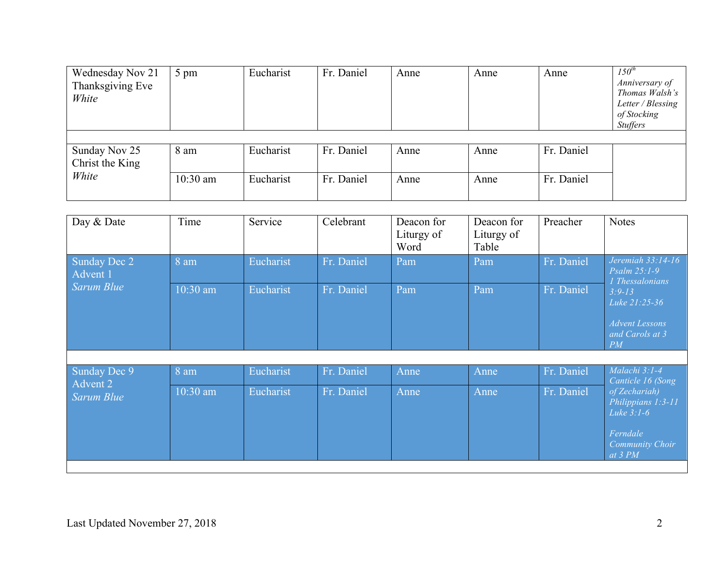| Wednesday Nov 21<br>Thanksgiving Eve<br>White | 5 pm               | Eucharist              | Fr. Daniel               | Anne         | Anne         | Anne                     | $150^{th}$<br>Anniversary of<br>Thomas Walsh's<br>Letter / Blessing<br>of Stocking<br><b>Stuffers</b> |
|-----------------------------------------------|--------------------|------------------------|--------------------------|--------------|--------------|--------------------------|-------------------------------------------------------------------------------------------------------|
| Sunday Nov 25<br>Christ the King<br>White     | 8 am<br>$10:30$ am | Eucharist<br>Eucharist | Fr. Daniel<br>Fr. Daniel | Anne<br>Anne | Anne<br>Anne | Fr. Daniel<br>Fr. Daniel |                                                                                                       |

| Day & Date               | Time     | Service   | Celebrant  | Deacon for<br>Liturgy of<br>Word | Deacon for<br>Liturgy of<br>Table | Preacher   | <b>Notes</b>                                                                                           |
|--------------------------|----------|-----------|------------|----------------------------------|-----------------------------------|------------|--------------------------------------------------------------------------------------------------------|
| Sunday Dec 2<br>Advent 1 | 8 am     | Eucharist | Fr. Daniel | Pam                              | Pam                               | Fr. Daniel | Jeremiah 33:14-16<br>$Psalm 25:1-9$<br>1 Thessalonians                                                 |
| Sarum Blue               | 10:30 am | Eucharist | Fr. Daniel | Pam                              | Pam                               | Fr. Daniel | $3:9 - 13$<br>Luke 21:25-36<br><b>Advent Lessons</b><br>and Carols at 3<br>PM                          |
|                          |          |           |            |                                  |                                   |            |                                                                                                        |
| Sunday Dec 9             | 8 am     | Eucharist | Fr. Daniel | Anne                             | Anne                              | Fr. Daniel | Malachi 3:1-4<br>Canticle 16 (Song                                                                     |
| Advent 2<br>Sarum Blue   | 10:30 am | Eucharist | Fr. Daniel | Anne                             | Anne                              | Fr. Daniel | of Zechariah)<br>Philippians 1:3-11<br>Luke $3:1-6$<br>Ferndale<br><b>Community Choir</b><br>at $3 PM$ |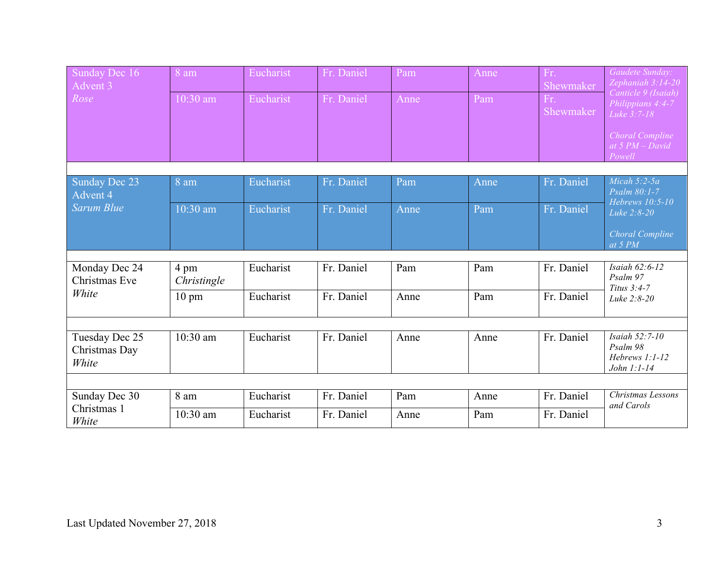| Sunday Dec 16<br>Advent 3                | 8 am                | Eucharist | Fr. Daniel | Pam  | Anne | Fr.<br>Shewmaker | Gaudete Sunday:<br>Zephaniah 3:14-20                        |
|------------------------------------------|---------------------|-----------|------------|------|------|------------------|-------------------------------------------------------------|
| Rose                                     | 10:30 am            | Eucharist | Fr. Daniel | Anne | Pam  | Fr.<br>Shewmaker | Canticle 9 (Isaiah)<br>Philippians 4:4-7<br>Luke 3:7-18     |
|                                          |                     |           |            |      |      |                  | <b>Choral Compline</b><br>at $5 PM-David$<br>Powell         |
|                                          |                     |           |            |      |      |                  |                                                             |
| <b>Sunday Dec 23</b><br>Advent 4         | 8 am                | Eucharist | Fr. Daniel | Pam  | Anne | Fr. Daniel       | Micah $5:2-5a$<br>Psalm 80:1-7                              |
| <b>Sarum Blue</b>                        | 10:30 am            | Eucharist | Fr. Daniel | Anne | Pam  | Fr. Daniel       | Hebrews 10:5-10<br>Luke 2:8-20                              |
|                                          |                     |           |            |      |      |                  | Choral Compline<br>at 5 PM                                  |
|                                          |                     |           |            |      |      |                  |                                                             |
| Monday Dec 24<br>Christmas Eve           | 4 pm<br>Christingle | Eucharist | Fr. Daniel | Pam  | Pam  | Fr. Daniel       | Isaiah 62:6-12<br>Psalm 97<br>Titus 3:4-7                   |
| White                                    | $10 \text{ pm}$     | Eucharist | Fr. Daniel | Anne | Pam  | Fr. Daniel       | Luke 2:8-20                                                 |
|                                          |                     |           |            |      |      |                  |                                                             |
| Tuesday Dec 25<br>Christmas Day<br>White | $10:30$ am          | Eucharist | Fr. Daniel | Anne | Anne | Fr. Daniel       | Isaiah 52:7-10<br>Psalm 98<br>Hebrews 1:1-12<br>John 1:1-14 |
|                                          |                     |           |            |      |      |                  |                                                             |
| Sunday Dec 30                            | 8 am                | Eucharist | Fr. Daniel | Pam  | Anne | Fr. Daniel       | Christmas Lessons                                           |
| Christmas 1<br>White                     | 10:30 am            | Eucharist | Fr. Daniel | Anne | Pam  | Fr. Daniel       | and Carols                                                  |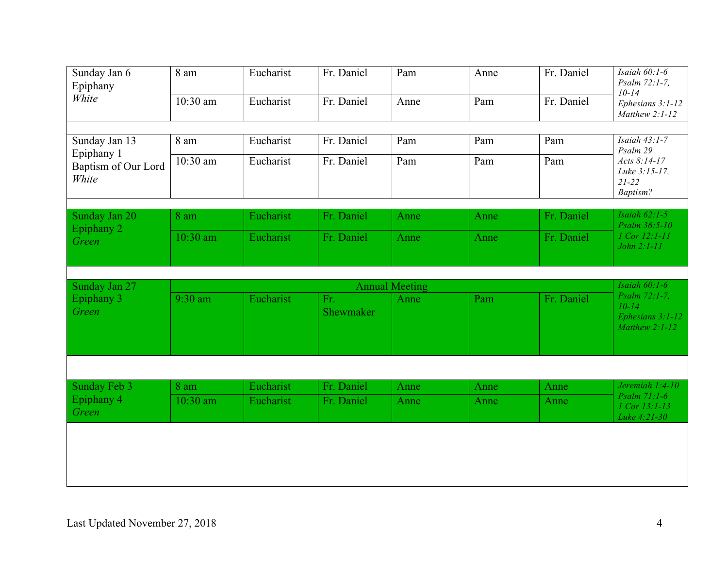| Sunday Jan 6<br>Epiphany     | 8 am                  | Eucharist | Fr. Daniel       | Pam  | Anne | Fr. Daniel | Isaiah 60:1-6<br>Psalm 72:1-7,                                     |  |
|------------------------------|-----------------------|-----------|------------------|------|------|------------|--------------------------------------------------------------------|--|
| White                        | 10:30 am              | Eucharist | Fr. Daniel       | Anne | Pam  | Fr. Daniel | $10 - 14$<br>Ephesians 3:1-12<br>Matthew 2:1-12                    |  |
|                              |                       |           |                  |      |      |            |                                                                    |  |
| Sunday Jan 13<br>Epiphany 1  | 8 am                  | Eucharist | Fr. Daniel       | Pam  | Pam  | Pam        | Isaiah 43:1-7<br>Psalm 29                                          |  |
| Baptism of Our Lord<br>White | 10:30 am              | Eucharist | Fr. Daniel       | Pam  | Pam  | Pam        | Acts 8:14-17<br>Luke 3:15-17,<br>$21 - 22$<br>Baptism?             |  |
|                              |                       |           |                  |      |      |            |                                                                    |  |
| Sunday Jan 20<br>Epiphany 2  | 8 am                  | Eucharist | Fr. Daniel       | Anne | Anne | Fr. Daniel | Isaiah $62:1-5$<br>Psalm 36:5-10                                   |  |
| Green                        | 10:30 am              | Eucharist | Fr. Daniel       | Anne | Anne | Fr. Daniel | 1 Cor 12:1-11<br>John 2:1-11                                       |  |
|                              |                       |           |                  |      |      |            |                                                                    |  |
|                              | <b>Annual Meeting</b> |           |                  |      |      |            |                                                                    |  |
| Sunday Jan 27                |                       |           |                  |      |      |            | Isaiah $60:1-6$                                                    |  |
| Epiphany 3<br>Green          | 9:30 am               | Eucharist | Fr.<br>Shewmaker | Anne | Pam  | Fr. Daniel | Psalm 72:1-7,<br>$10 - 14$<br>Ephesians 3:1-12<br>Matthew $2:1-12$ |  |
|                              |                       |           |                  |      |      |            |                                                                    |  |
| Sunday Feb 3                 | 8 am                  | Eucharist | Fr. Daniel       | Anne | Anne | Anne       | Jeremiah $1:4-10$                                                  |  |
| Epiphany 4<br>Green          | $10:30$ am            | Eucharist | Fr. Daniel       | Anne | Anne | Anne       | Psalm $71:1-6$<br>1 Cor 13:1-13<br>Luke 4:21-30                    |  |